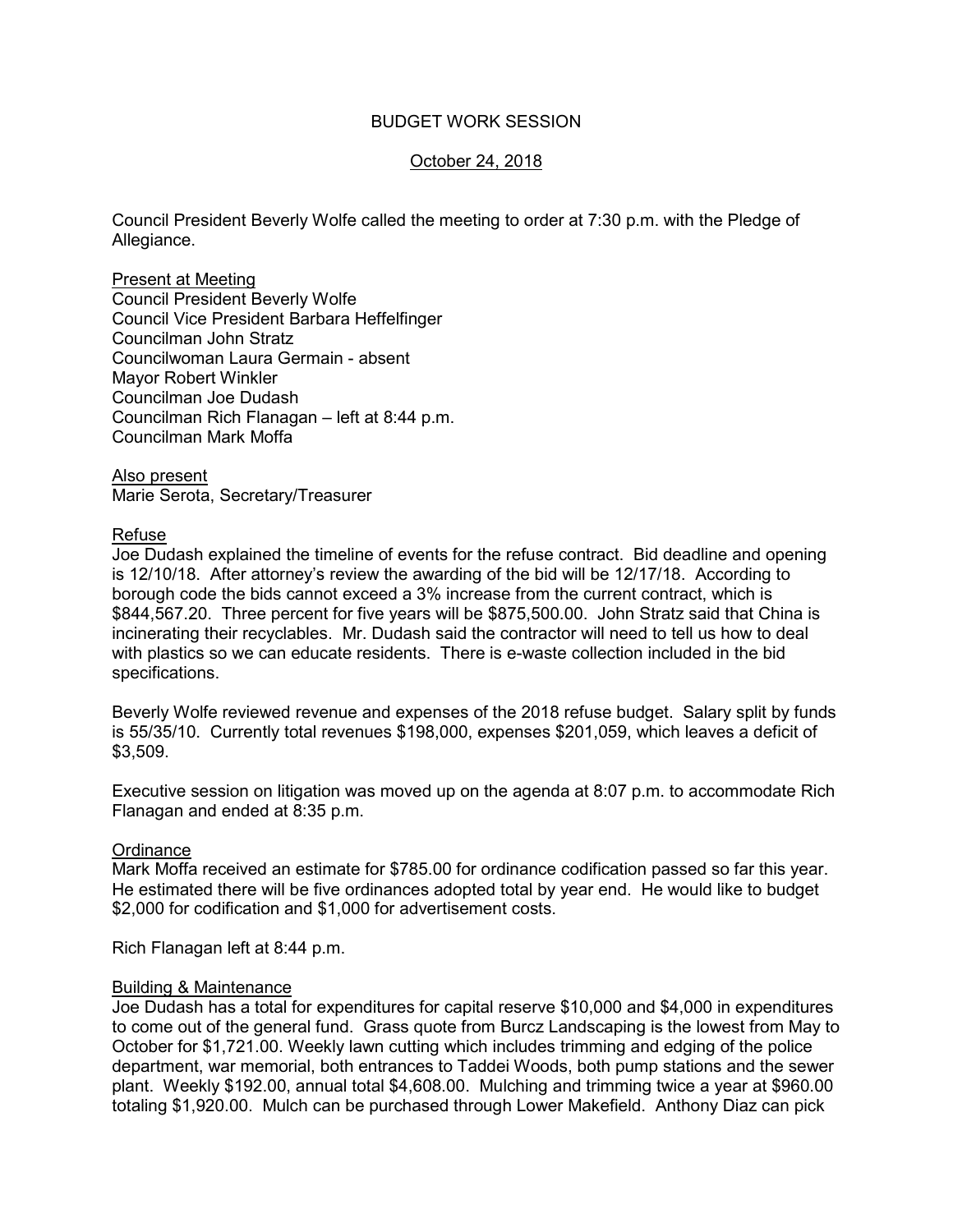## BUDGET WORK SESSION

# October 24, 2018

Council President Beverly Wolfe called the meeting to order at 7:30 p.m. with the Pledge of Allegiance.

Present at Meeting Council President Beverly Wolfe Council Vice President Barbara Heffelfinger Councilman John Stratz Councilwoman Laura Germain - absent Mayor Robert Winkler Councilman Joe Dudash Councilman Rich Flanagan – left at 8:44 p.m. Councilman Mark Moffa

Also present Marie Serota, Secretary/Treasurer

### Refuse

Joe Dudash explained the timeline of events for the refuse contract. Bid deadline and opening is 12/10/18. After attorney's review the awarding of the bid will be 12/17/18. According to borough code the bids cannot exceed a 3% increase from the current contract, which is \$844,567.20. Three percent for five years will be \$875,500.00. John Stratz said that China is incinerating their recyclables. Mr. Dudash said the contractor will need to tell us how to deal with plastics so we can educate residents. There is e-waste collection included in the bid specifications.

Beverly Wolfe reviewed revenue and expenses of the 2018 refuse budget. Salary split by funds is 55/35/10. Currently total revenues \$198,000, expenses \$201,059, which leaves a deficit of \$3,509.

Executive session on litigation was moved up on the agenda at 8:07 p.m. to accommodate Rich Flanagan and ended at 8:35 p.m.

## **Ordinance**

Mark Moffa received an estimate for \$785.00 for ordinance codification passed so far this year. He estimated there will be five ordinances adopted total by year end. He would like to budget \$2,000 for codification and \$1,000 for advertisement costs.

Rich Flanagan left at 8:44 p.m.

#### Building & Maintenance

Joe Dudash has a total for expenditures for capital reserve \$10,000 and \$4,000 in expenditures to come out of the general fund. Grass quote from Burcz Landscaping is the lowest from May to October for \$1,721.00. Weekly lawn cutting which includes trimming and edging of the police department, war memorial, both entrances to Taddei Woods, both pump stations and the sewer plant. Weekly \$192.00, annual total \$4,608.00. Mulching and trimming twice a year at \$960.00 totaling \$1,920.00. Mulch can be purchased through Lower Makefield. Anthony Diaz can pick